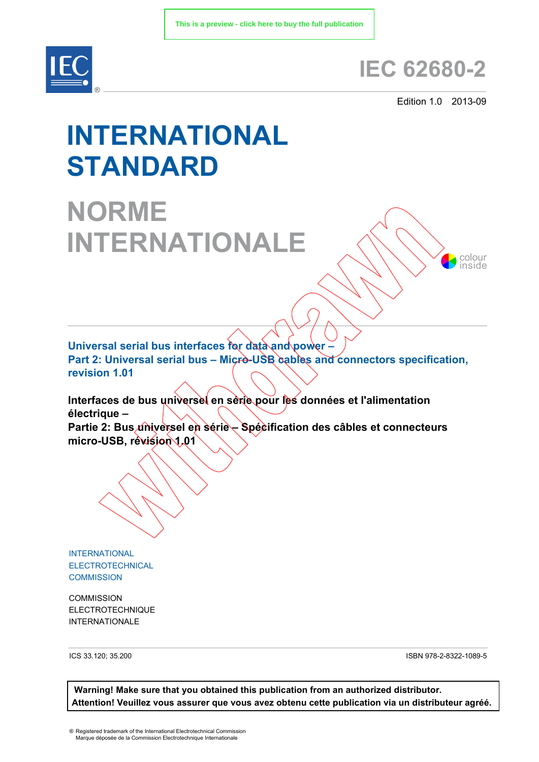

# **IEC 62680-2**

Edition 1.0 2013-09

colour inside

# **INTERNATIONAL STANDARD**

**NORME INTERNATIONALE**

**Universal serial bus interfaces for data and power –** Part 2: Universal serial bus – Micro-USB cables and connectors specification, **revision 1.01**

**Interfaces de bus universel en série pour les données et l'alimentation électrique –** 

Partie 2: Bus *u*niversel en série – Spécification des câbles et connecteurs **micro-USB, révision 1.01**

INTERNATIONAL ELECTROTECHNICAL **COMMISSION** 

**COMMISSION** ELECTROTECHNIQUE INTERNATIONALE

ICS 33.120; 35.200

ISBN 978-2-8322-1089-5

**Warning! Make sure that you obtained this publication from an authorized distributor. Attention! Veuillez vous assurer que vous avez obtenu cette publication via un distributeur agréé.**

® Registered trademark of the International Electrotechnical Commission Marque déposée de la Commission Electrotechnique Internationale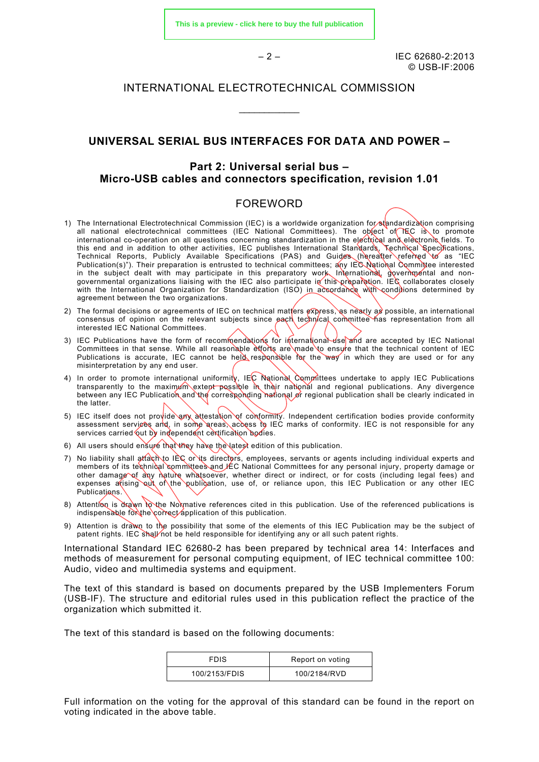$-2 - 1$  IEC 62680-2:2013 © USB-IF:2006

# INTERNATIONAL ELECTROTECHNICAL COMMISSION

\_\_\_\_\_\_\_\_\_\_\_\_

# **UNIVERSAL SERIAL BUS INTERFACES FOR DATA AND POWER –**

# **Part 2: Universal serial bus – Micro-USB cables and connectors specification, revision 1.01**

#### FOREWORD

- 1) The International Electrotechnical Commission (IEC) is a worldwide organization for standardization comprising all national electrotechnical committees (IEC National Committees). The object of IEC is to promote international co-operation on all questions concerning standardization in the electrical and electronic fields. To this end and in addition to other activities, IEC publishes International Standards, Technical Specifications, Technical Reports, Publicly Available Specifications (PAS) and Guides (hereafter referred to as "IEC Publication(s)"). Their preparation is entrusted to technical committees; any IEC National Committee interested in the subject dealt with may participate in this preparatory work. International, governmental and nongovernmental organizations liaising with the IEC also participate in this preparation. IEC collaborates closely with the International Organization for Standardization (ISO) in accordance with conditions determined by agreement between the two organizations.
- 2) The formal decisions or agreements of IEC on technical matters  $\exp$ ress, as nearly as possible, an international consensus of opinion on the relevant subjects since pach technical committee has representation from all interested IEC National Committees.
- 3) IEC Publications have the form of recommendations for international use and are accepted by IEC National Committees in that sense. While all reasonable efforts are made to ensure that the technical content of IEC Publications is accurate, IEC cannot be held responsible for the way in which they are used or for any misinterpretation by any end user.
- 4) In order to promote international uniformity, IEC National Committees undertake to apply IEC Publications transparently to the maximum extent possible in their national and regional publications. Any divergence between any IEC Publication and the corresponding national or regional publication shall be clearly indicated in the latter.
- 5) IEC itself does not provide any attestation of conformity. Independent certification bodies provide conformity assessment servicês and, in some areas, access to IEC marks of conformity. IEC is not responsible for any services carried out by independent certification bodies.
- 6) All users should ensure that they have the latest edition of this publication.
- 7) No liability shall attach to IEC or its directors, employees, servants or agents including individual experts and members of its technical committees and IEC National Committees for any personal injury, property damage or other damage of any nature whatsoever, whether direct or indirect, or for costs (including legal fees) and expenses atising out of the publication, use of, or reliance upon, this IEC Publication or any other IEC Publications.
- 8) Attention is drawn to the Normative references cited in this publication. Use of the referenced publications is indispensable for the correct application of this publication.
- 9) Attention is drawn to the possibility that some of the elements of this IEC Publication may be the subject of patent rights. IEC shall not be held responsible for identifying any or all such patent rights.

International Standard IEC 62680-2 has been prepared by technical area 14: Interfaces and methods of measurement for personal computing equipment, of IEC technical committee 100: Audio, video and multimedia systems and equipment.

The text of this standard is based on documents prepared by the USB Implementers Forum (USB-IF). The structure and editorial rules used in this publication reflect the practice of the organization which submitted it.

The text of this standard is based on the following documents:

| <b>FDIS</b>   | Report on voting |
|---------------|------------------|
| 100/2153/FDIS | 100/2184/RVD     |

Full information on the voting for the approval of this standard can be found in the report on voting indicated in the above table.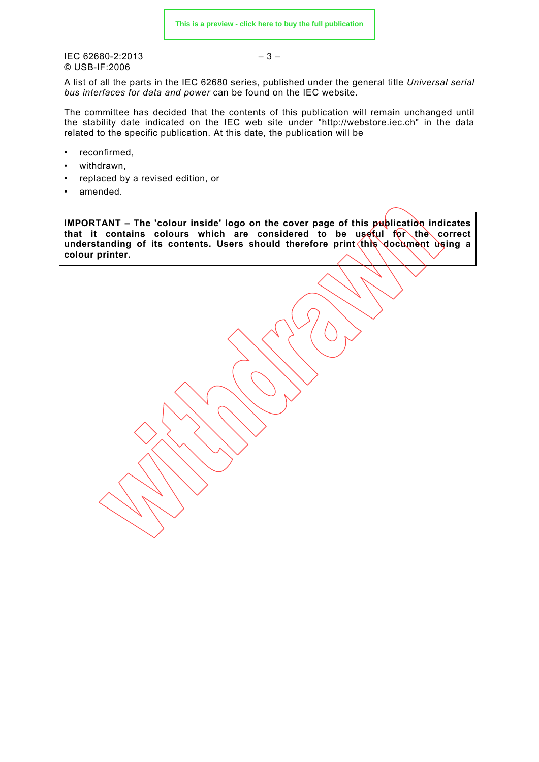$\text{IEC } 62680 - 2:2013$  – 3 – © USB-IF:2006

A list of all the parts in the IEC 62680 series, published under the general title *Universal serial bus interfaces for data and power* can be found on the IEC website.

The committee has decided that the contents of this publication will remain unchanged until the stability date indicated on the IEC web site under "http://webstore.iec.ch" in the data related to the specific publication. At this date, the publication will be

- reconfirmed,
- withdrawn.
- replaced by a revised edition, or
- amended.

**IMPORTANT – The 'colour inside' logo on the cover page of this publication indicates** that it contains colours which are considered to be useful for the correct understanding of its contents. Users should therefore print this document using a **colour printer.**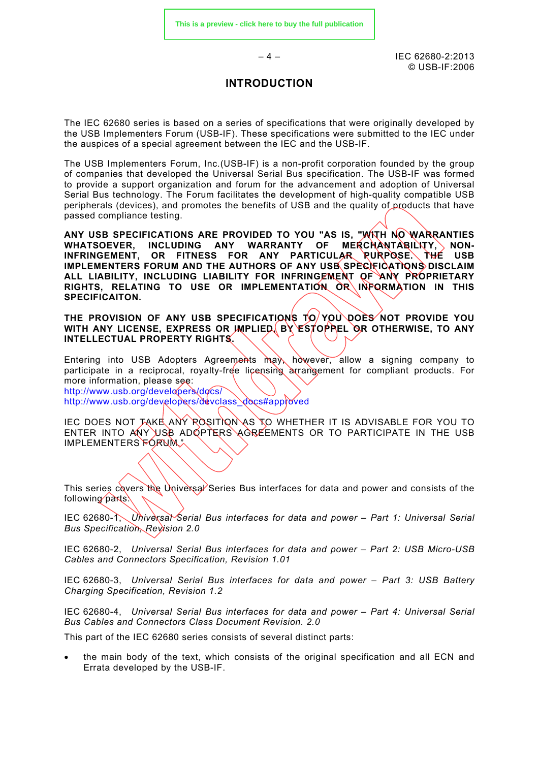$-4 -$  IEC 62680-2:2013 © USB-IF:2006

# **INTRODUCTION**

The IEC 62680 series is based on a series of specifications that were originally developed by the USB Implementers Forum (USB-IF). These specifications were submitted to the IEC under the auspices of a special agreement between the IEC and the USB-IF.

The USB Implementers Forum, Inc.(USB-IF) is a non-profit corporation founded by the group of companies that developed the Universal Serial Bus specification. The USB-IF was formed to provide a support organization and forum for the advancement and adoption of Universal Serial Bus technology. The Forum facilitates the development of high-quality compatible USB peripherals (devices), and promotes the benefits of USB and the quality of products that have passed compliance testing.

**ANY USB SPECIFICATIONS ARE PROVIDED TO YOU "AS IS, "WITH NO WARRANTIES**  OF MERCHANTABILITY, NON-**INFRINGEMENT, OR FITNESS FOR ANY PARTICULAR PURPOSE. THE USB IMPLEMENTERS FORUM AND THE AUTHORS OF ANY USB SPECIFICATIONS DISCLAIM ALL LIABILITY, INCLUDING LIABILITY FOR INFRINGEMENT OF ANY PROPRIETARY RIGHTS, RELATING TO USE OR IMPLEMENTATION OR INFORMATION IN THIS SPECIFICAITON.** 

**THE PROVISION OF ANY USB SPECIFICATIONS TO YOU DOES NOT PROVIDE YOU**  WITH ANY LICENSE, EXPRESS OR IMPLIED, BY ESTOPPEL OR OTHERWISE, TO ANY **INTELLECTUAL PROPERTY RIGHTS.** 

Entering into USB Adopters Agreements may however, allow a signing company to participate in a reciprocal, royalty-free licensing arrangement for compliant products. For more information, please see: <http://www.usb.org/developers/docs/>

[http://www.usb.org/developers/devclass\\_docs#approved](http://www.usb.org/developers/devclass_docs#approved)

IEC DOES NOT TAKE ANY ROSITION AS TO WHETHER IT IS ADVISABLE FOR YOU TO ENTER INTO ANY USB ADOPTERS AGREEMENTS OR TO PARTICIPATE IN THE USB IMPLEMENTERS FORUM."

This series covers the Universal Series Bus interfaces for data and power and consists of the following parts!

IEC 62680-1, *Universal Serial Bus interfaces for data and power – Part 1: Universal Serial Bus Specification, Revision 2.0*

IEC 62680-2, *Universal Serial Bus interfaces for data and power – Part 2: USB Micro-USB Cables and Connectors Specification, Revision 1.01*

IEC 62680-3, *Universal Serial Bus interfaces for data and power – Part 3: USB Battery Charging Specification, Revision 1.2*

IEC 62680-4, *Universal Serial Bus interfaces for data and power – Part 4: Universal Serial Bus Cables and Connectors Class Document Revision. 2.0*

This part of the IEC 62680 series consists of several distinct parts:

• the main body of the text, which consists of the original specification and all ECN and Errata developed by the USB-IF.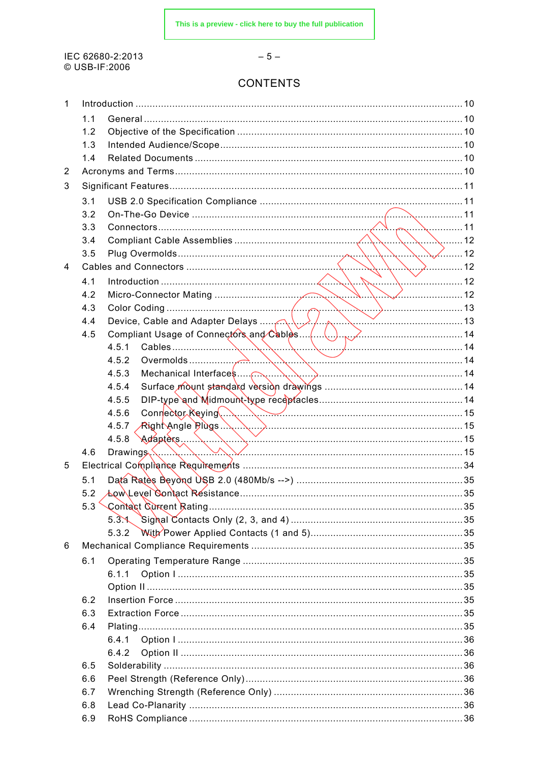IEC 62680-2:2013 © USB-IF:2006

#### $-5-$

# **CONTENTS**

| 1 |     |                                                 |  |
|---|-----|-------------------------------------------------|--|
|   | 1.1 |                                                 |  |
|   | 1.2 |                                                 |  |
|   | 1.3 |                                                 |  |
|   | 1.4 |                                                 |  |
| 2 |     |                                                 |  |
| 3 |     |                                                 |  |
|   | 3.1 |                                                 |  |
|   | 3.2 |                                                 |  |
|   | 3.3 |                                                 |  |
|   | 3.4 |                                                 |  |
|   | 3.5 | $\sim$ 2 $\sim$ 12                              |  |
| 4 |     |                                                 |  |
|   | 4.1 | <sup>.</sup> 12                                 |  |
|   | 4.2 |                                                 |  |
|   | 4.3 |                                                 |  |
|   | 4.4 |                                                 |  |
|   | 4.5 |                                                 |  |
|   |     | 4.5.1                                           |  |
|   |     | 4.5.2                                           |  |
|   |     | 4.5.3                                           |  |
|   |     | 4.5.4                                           |  |
|   |     | 4.5.5                                           |  |
|   |     | Connector Reying (Action 2008) 15<br>4.5.6      |  |
|   |     |                                                 |  |
|   |     | 4.5.7 Right Angle Plugs<br>Adapters 15<br>4.5.8 |  |
|   | 4.6 | $\mathsf{Drawing}$ , $\mathsf{S}$               |  |
| 5 |     |                                                 |  |
|   | 5.1 |                                                 |  |
|   | 5.2 |                                                 |  |
|   |     |                                                 |  |
|   |     | $5.3$ $\sim$                                    |  |
|   |     | 5.3.2                                           |  |
| 6 |     |                                                 |  |
|   | 6.1 |                                                 |  |
|   |     | 6.1.1                                           |  |
|   |     |                                                 |  |
|   | 6.2 |                                                 |  |
|   | 6.3 |                                                 |  |
|   | 6.4 |                                                 |  |
|   |     | 6.4.1                                           |  |
|   |     | 6.4.2                                           |  |
|   | 6.5 |                                                 |  |
|   | 6.6 |                                                 |  |
|   | 6.7 |                                                 |  |
|   | 6.8 |                                                 |  |
|   | 6.9 |                                                 |  |
|   |     |                                                 |  |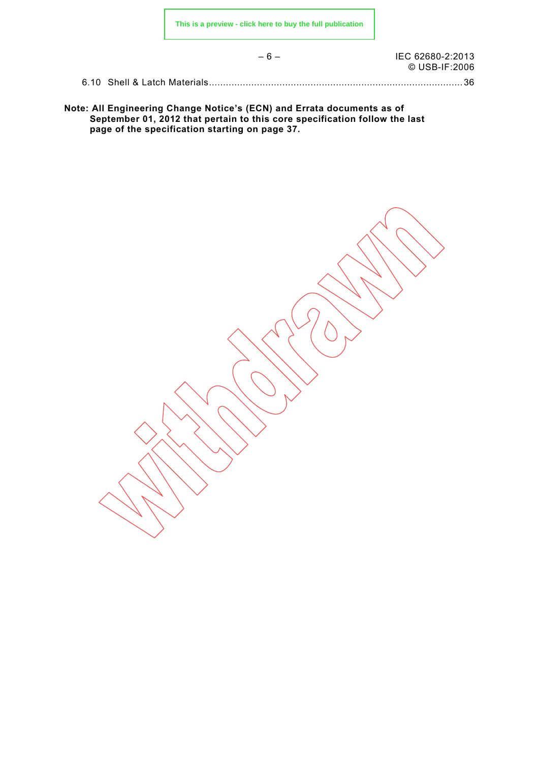– 6 – IEC 62680-2:2013 © USB-IF:2006

6.10 Shell & Latch Materials.......................................................................................... 36

**Note: All Engineering Change Notice's (ECN) and Errata documents as of September 01, 2012 that pertain to this core specification follow the last page of the specification starting on page 37.**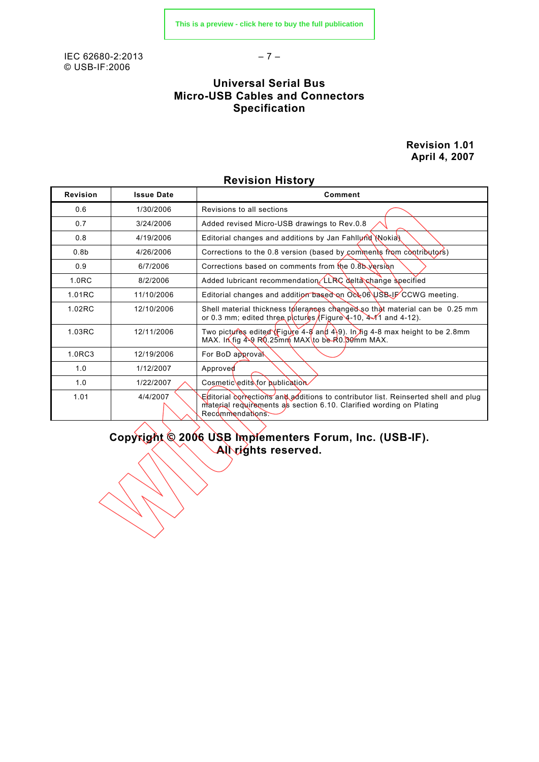IEC 62680-2:2013 – 7 – © USB-IF:2006

# **Universal Serial Bus Micro-USB Cables and Connectors Specification**

**Revision 1.01 April 4, 2007**

| <b>Revision</b>   | <b>Issue Date</b> | Comment                                                                                                                                                                       |
|-------------------|-------------------|-------------------------------------------------------------------------------------------------------------------------------------------------------------------------------|
| 0.6               | 1/30/2006         | Revisions to all sections                                                                                                                                                     |
| 0.7               | 3/24/2006         | Added revised Micro-USB drawings to Rev.0.8                                                                                                                                   |
| 0.8               | 4/19/2006         | Editorial changes and additions by Jan Fahllund Nokia)                                                                                                                        |
| 0.8 <sub>b</sub>  | 4/26/2006         | Corrections to the 0.8 version (based by comments from contributors)                                                                                                          |
| 0.9               | 6/7/2006          | Corrections based on comments from the 0.8b version                                                                                                                           |
| 1.0 <sub>RC</sub> | 8/2/2006          | Added lubricant recommendation LLRC delta change specified                                                                                                                    |
| 1.01RC            | 11/10/2006        | Editorial changes and addition based on Oct 06 USB JF CCWG meeting.                                                                                                           |
| 1.02RC            | 12/10/2006        | Shell material thickness tolerances changed so that material can be 0.25 mm<br>or 0.3 mm; edited three pictures (Figure 4-10, $4\sqrt{1}$ and 4-12).                          |
| 1.03RC            | 12/11/2006        | Two pictures edited \Figure 4-8 and 4\9). In fig 4-8 max height to be 2.8mm<br>MAX. In fig 4-9 RQ.25mm MAX to be R0.30mm MAX.                                                 |
| 1.0RC3            | 12/19/2006        | For BoD approval                                                                                                                                                              |
| 1.0               | 1/12/2007         | Approved                                                                                                                                                                      |
| 1.0               | 1/22/2007         | Cosmetic edits for publication                                                                                                                                                |
| 1.01              | 4/4/2007          | Editorial corrections and additions to contributor list. Reinserted shell and plug<br>material requirements as section 6.10. Clarified wording on Plating<br>Recommendations. |

# **Revision History**

**Copyright © 2006 USB Implementers Forum, Inc. (USB-IF). All rights reserved.**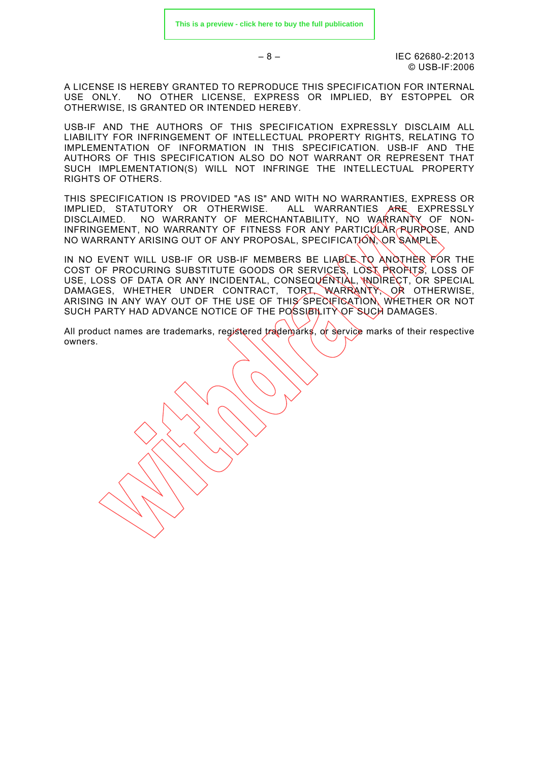$-8 - 12013$ © USB-IF:2006

A LICENSE IS HEREBY GRANTED TO REPRODUCE THIS SPECIFICATION FOR INTERNAL USE ONLY. NO OTHER LICENSE, EXPRESS OR IMPLIED, BY ESTOPPEL OR OTHERWISE, IS GRANTED OR INTENDED HEREBY.

USB-IF AND THE AUTHORS OF THIS SPECIFICATION EXPRESSLY DISCLAIM ALL LIABILITY FOR INFRINGEMENT OF INTELLECTUAL PROPERTY RIGHTS, RELATING TO IMPLEMENTATION OF INFORMATION IN THIS SPECIFICATION. USB-IF AND THE AUTHORS OF THIS SPECIFICATION ALSO DO NOT WARRANT OR REPRESENT THAT SUCH IMPLEMENTATION(S) WILL NOT INFRINGE THE INTELLECTUAL PROPERTY RIGHTS OF OTHERS.

THIS SPECIFICATION IS PROVIDED "AS IS" AND WITH NO WARRANTIES, EXPRESS OR IMPLIED, STATUTORY OR OTHERWISE. ALL WARRANTIES ARE EXPRESSLY DISCLAIMED. NO WARRANTY OF MERCHANTABILITY, NO WARRANTY OF NON-INFRINGEMENT, NO WARRANTY OF FITNESS FOR ANY PARTICULAR PURPOSE, AND NO WARRANTY ARISING OUT OF ANY PROPOSAL, SPECIFICATION, OR SAMPLE.

IN NO EVENT WILL USB-IF OR USB-IF MEMBERS BE LIABLE TO ANOTHER FOR THE COST OF PROCURING SUBSTITUTE GOODS OR SERVICES, LOST PROFITS, LOSS OF USE, LOSS OF DATA OR ANY INCIDENTAL, CONSEQUENTIAL, WOIRECT, OR SPECIAL DAMAGES, WHETHER UNDER CONTRACT, TORT, WARRANTY, OR OTHERWISE, ARISING IN ANY WAY OUT OF THE USE OF THIS SPECIFICATION, WHETHER OR NOT SUCH PARTY HAD ADVANCE NOTICE OF THE POSSIBILITY OF SUCH DAMAGES.

All product names are trademarks, registered trademarks, or service marks of their respective owners.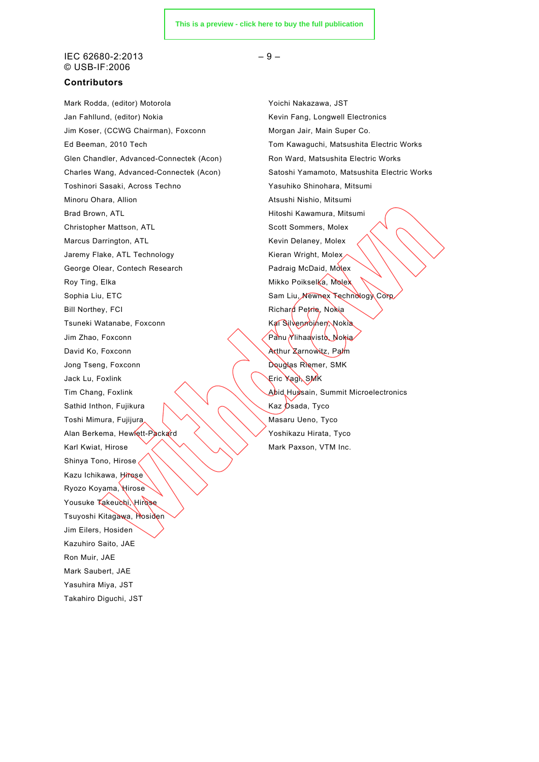#### $\text{IEC } 62680 - 2:2013$  – 9 – © USB-IF:2006

#### **Contributors**

Mark Rodda, (editor) Motorola XVIII Makazawa, JST Jan Fahllund, (editor) Nokia Kevin Fang, Longwell Electronics Jim Koser, (CCWG Chairman), Foxconn Morgan Jair, Main Super Co. Glen Chandler, Advanced-Connectek (Acon) Ron Ward, Matsushita Electric Works Toshinori Sasaki, Across Techno Yasuhiko Shinohara, Mitsumi Minoru Ohara, Allion Atsushi Nishio, Mitsumi Brad Brown, ATL **Hitoshi Kawamura, Mitsumi** Christopher Mattson, ATL Scott Sommers, Molex Marcus Darrington, ATL **Kevin Delaney, Molex** Kevin Delaney, Molex Jaremy Flake, ATL Technology **Kieran Wright, Molex** George Olear, Contech Research **Padraig McDaid, Molex** Roy Ting, Elka Mikko Poikselka, Molex Sophia Liu, ETC Sam Liu, Newnex Technology Corp. Bill Northey, FCI **Richard Petrie**, Nokia Tsuneki Watanabe, Foxconn Kai Silvennoinen, Nokia Jim Zhao, Foxconn **Panu Ylihaa**visto, Nokia David Ko, Foxconn **Arthur Zarnowitz**, Palm Jong Tseng, Foxconn **Douglas Riemer, SMK** Jack Lu, Foxlink Eric Yagi, SMK Tim Chang, Foxlink  $\left\langle \right\rangle$  Abid Hussain, Summit Microelectronics Sathid Inthon, Fujikura  $\mathbb{R}$   $\mathbb{R}$   $\mathbb{R}$   $\mathbb{R}$  Kaz Osada, Tyco Toshi Mimura, Fujijura (VANA) Masaru Ueno, Tyco Alan Berkema, Hewlett-Packard  $\left\langle \right\rangle \left\langle \right\rangle$  Yoshikazu Hirata, Tyco Karl Kwiat, Hirose  $\sqrt{2}$   $\sqrt{2}$  Mark Paxson, VTM Inc. Shinya Tono, Hirose Kazu Ichikawa, Hirose Ryozo Koyama, Hirose Yousuke Takeuchi, Hirose Tsuyoshi Kitagawa, Hosiden Jim Eilers, Hosiden Kazuhiro Saito, JAE Ron Muir, JAE Mark Saubert, JAE Yasuhira Miya, JST Takahiro Diguchi, JST

Ed Beeman, 2010 Tech Tom Kawaguchi, Matsushita Electric Works Charles Wang, Advanced-Connectek (Acon) Satoshi Yamamoto, Matsushita Electric Works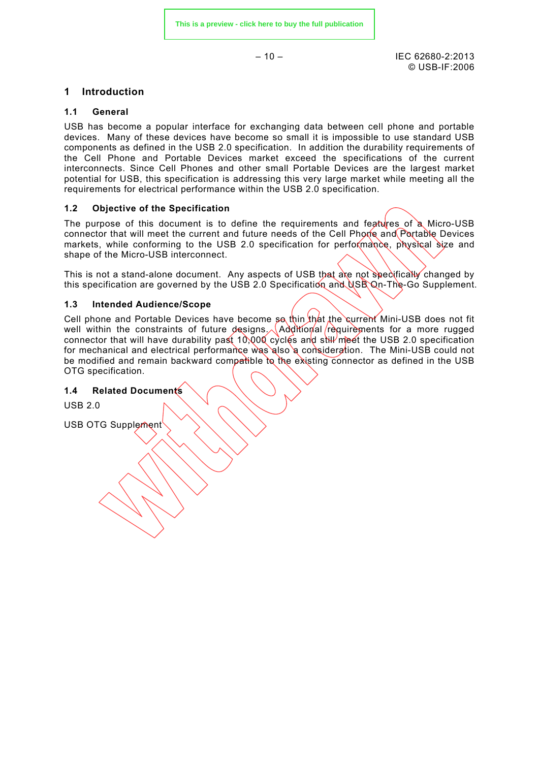$-10 - 10$ © USB-IF:2006

# **1 Introduction**

#### **1.1 General**

USB has become a popular interface for exchanging data between cell phone and portable devices. Many of these devices have become so small it is impossible to use standard USB components as defined in the USB 2.0 specification. In addition the durability requirements of the Cell Phone and Portable Devices market exceed the specifications of the current interconnects. Since Cell Phones and other small Portable Devices are the largest market potential for USB, this specification is addressing this very large market while meeting all the requirements for electrical performance within the USB 2.0 specification.

# **1.2 Objective of the Specification**

The purpose of this document is to define the requirements and features of a Micro-USB connector that will meet the current and future needs of the Cell Phone and Portable Devices markets, while conforming to the USB 2.0 specification for performance, physical size and shape of the Micro-USB interconnect.

This is not a stand-alone document. Any aspects of USB that are not specifically changed by this specification are governed by the USB 2.0 Specification and USB On-The-Go Supplement.

#### **1.3 Intended Audience/Scope**

Cell phone and Portable Devices have become so thin that the current Mini-USB does not fit well within the constraints of future designs. Additional requirements for a more rugged connector that will have durability past 10,000 cycles and still meet the USB 2.0 specification for mechanical and electrical performance was also a consideration. The Mini-USB could not be modified and remain backward compatible to the existing connector as defined in the USB OTG specification.

This chapter lists and defines terms and abbreviations used throughout this specification.

**A-Device** A device with a Type-A plug inserted into its receptacle. The A-

 $\sqrt{2}$ 

device supplies power to VBUS and is host at the start of a session.  $\langle \rangle$ 

#### **1.4 Related Documents**

**2 Acronyms and Terms**

USB 2.0

USB OTG Supplement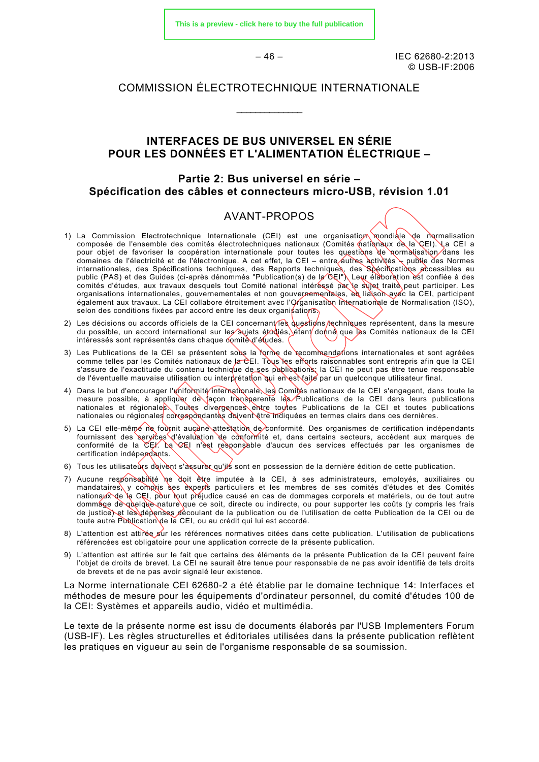$-46 -$  IEC 62680-2:2013 © USB-IF:2006

# COMMISSION ÉLECTROTECHNIQUE INTERNATIONALE

\_\_\_\_\_\_\_\_\_\_\_\_\_\_

# **INTERFACES DE BUS UNIVERSEL EN SÉRIE POUR LES DONNÉES ET L'ALIMENTATION ÉLECTRIQUE –**

# **Partie 2: Bus universel en série – Spécification des câbles et connecteurs micro-USB, révision 1.01**

#### AVANT-PROPOS

- 1) La Commission Electrotechnique Internationale (CEI) est une organisation mondiale de normalisation composée de l'ensemble des comités électrotechniques nationaux (Comités nationaux de la CEI). La CEI a pour objet de favoriser la coopération internationale pour toutes les questions de normalisation dans les domaines de l'électricité et de l'électronique. A cet effet, la CEI – entre autres activités – publie des Normes internationales, des Spécifications techniques, des Rapports techniques, des Spécifications *a*ccessibles au public (PAS) et des Guides (ci-après dénommés "Publication(s) de la CEI"). Leur élaboration èst confiée à des comités d'études, aux travaux desquels tout Comité national intéréssé par le sujet traité peut participer. Les organisations internationales, gouvernementales et non gouvernementales, en liaison avec la CEI, participent également aux travaux. La CEI collabore étroitement avec l'Organisation Internationale de Normalisation (ISO), selon des conditions fixées par accord entre les deux organisations.
- 2) Les décisions ou accords officiels de la CEI concernant les questions rechniques représentent, dans la mesure du possible, un accord international sur les sujets étudiés, étant donné que les Comités nationaux de la CEI intéressés sont représentés dans chaque comité d'études.
- 3) Les Publications de la CEI se présentent sous la forme de recommandations internationales et sont agréées comme telles par les Comités nationaux de la CEI. Tous les efforts raisonnables sont entrepris afin que la CEI s'assure de l'exactitude du contenu technique de ses publications; la CEI ne peut pas être tenue responsable de l'éventuelle mauvaise utilisation ou interprétation qui en est faite par un quelconque utilisateur final.
- 4) Dans le but d'encourager l'uniformité internationale, les Comités nationaux de la CEI s'engagent, dans toute la mesure possible, à appliquer de façon transparente les Publications de la CEI dans leurs publications nationales et régionales. Toutes divergences entre toutes Publications de la CEI et toutes publications nationales ou régionales correspondantes doivent être indiquées en termes clairs dans ces dernières.
- 5) La CEI elle-même ne fournit aucune attestation de conformité. Des organismes de certification indépendants fournissent des services d'évaluation de conformité et, dans certains secteurs, accèdent aux marques de conformité de la CEI. La CEI n'èst responsable d'aucun des services effectués par les organismes de certification indépendants.
- 6) Tous les utilisateurs doivent s'assurer qu'ils sont en possession de la dernière édition de cette publication.
- 7) Aucune responsabilité ne doit être imputée à la CEI, à ses administrateurs, employés, auxiliaires ou mandataires, y compris ses experts particuliers et les membres de ses comités d'études et des Comités nationaux de la CEI, pour tout préjudice causé en cas de dommages corporels et matériels, ou de tout autre dommage de quelque nature que ce soit, directe ou indirecte, ou pour supporter les coûts (y compris les frais de justice) et les dépenses découlant de la publication ou de l'utilisation de cette Publication de la CEI ou de toute autre Publication de la CEI, ou au crédit qui lui est accordé.
- 8) L'attention est attirée sur les références normatives citées dans cette publication. L'utilisation de publications référencées est obligatoire pour une application correcte de la présente publication.
- 9) L'attention est attirée sur le fait que certains des éléments de la présente Publication de la CEI peuvent faire l'objet de droits de brevet. La CEI ne saurait être tenue pour responsable de ne pas avoir identifié de tels droits de brevets et de ne pas avoir signalé leur existence.

La Norme internationale CEI 62680-2 a été établie par le domaine technique 14: Interfaces et méthodes de mesure pour les équipements d'ordinateur personnel, du comité d'études 100 de la CEI: Systèmes et appareils audio, vidéo et multimédia.

Le texte de la présente norme est issu de documents élaborés par l'USB Implementers Forum (USB-IF). Les règles structurelles et éditoriales utilisées dans la présente publication reflètent les pratiques en vigueur au sein de l'organisme responsable de sa soumission.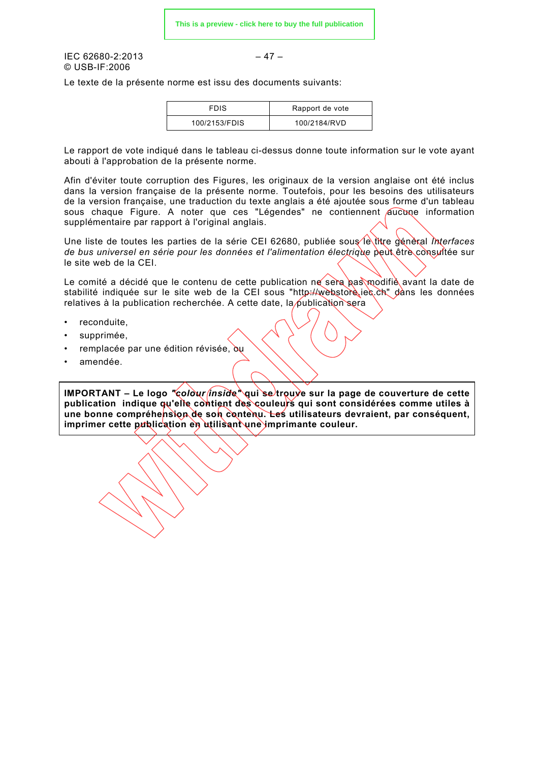$IEC 62680-2:2013$  – 47 – © USB-IF:2006

Le texte de la présente norme est issu des documents suivants:

| <b>FDIS</b>   | Rapport de vote |
|---------------|-----------------|
| 100/2153/FDIS | 100/2184/RVD    |

Le rapport de vote indiqué dans le tableau ci-dessus donne toute information sur le vote ayant abouti à l'approbation de la présente norme.

Afin d'éviter toute corruption des Figures, les originaux de la version anglaise ont été inclus dans la version française de la présente norme. Toutefois, pour les besoins des utilisateurs de la version française, une traduction du texte anglais a été ajoutée sous forme d'un tableau sous chaque Figure. A noter que ces "Légendes" ne contiennent aucune information supplémentaire par rapport à l'original anglais.

Une liste de toutes les parties de la série CEI 62680, publiée sous le titre génèral *Interfaces* de bus universel en série pour les données et l'alimentation électrique peut être consultée sur le site web de la CEI.

Le comité a décidé que le contenu de cette publication ne sera pas modifié avant la date de stabilité indiquée sur le site web de la CEI sous "http://webstore.iec.ch" dans les données relatives à la publication recherchée. A cette date, la publication sera

- reconduite,
- supprimée.
- remplacée par une édition révisée, ou
- amendée.

**IMPORTANT – Le logo** *"colour inside"* **qui se trouve sur la page de couverture de cette publication indique qu'elle contient des couleurs qui sont considérées comme utiles à une bonne compréhension de son contenu. Les utilisateurs devraient, par conséquent, imprimer cette publication en utilisant une imprimante couleur.**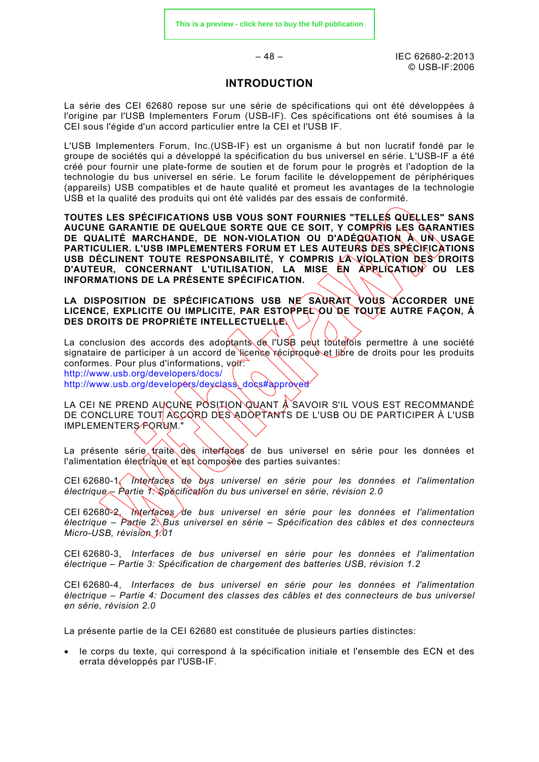$-48 -$ IEC 62680-2:2013  $© IISB-IF:2006$ 

#### **INTRODUCTION**

La série des CEI 62680 repose sur une série de spécifications qui ont été développées à l'origine par l'USB Implementers Forum (USB-IF). Ces spécifications ont été soumises à la CEI sous l'égide d'un accord particulier entre la CEI et l'USB IF.

L'USB Implementers Forum, Inc.(USB-IF) est un organisme à but non lucratif fondé par le groupe de sociétés qui a développé la spécification du bus universel en série. L'USB-IF a été créé pour fournir une plate-forme de soutien et de forum pour le progrès et l'adoption de la technologie du bus universel en série. Le forum facilite le développement de périphériques (appareils) USB compatibles et de haute qualité et promeut les avantages de la technologie USB et la qualité des produits qui ont été validés par des essais de conformité.

**TOUTES LES SPÉCIFICATIONS USB VOUS SONT FOURNIES "TELLES QUELLES" SANS AUCUNE GARANTIE DE QUELQUE SORTE QUE CE SOIT, Y COMPRIS LES GARANTIES DE QUALITÉ MARCHANDE, DE NON-VIOLATION OU D'ADÉQUATION À UN USAGE PARTICULIER. L'USB IMPLEMENTERS FORUM ET LES AUTEURS DES SPÉCIFICATIONS**  USB DÉCLINENT TOUTE RESPONSABILITÉ, Y COMPRIS LA VIQLATION DES DROITS D'AUTEUR, CONCERNANT L'UTILISATION, LA MISE EN APRLICATION OU LES **INFORMATIONS DE LA PRÉSENTE SPÉCIFICATION.**

LA DISPOSITION DE SPÉCIFICATIONS USB NE SAURAIT VOUS ACCORDER UNE LICENCE, EXPLICITE OU IMPLICITE, PAR ESTOPPEL OU DE TOUTE AUTRE FAÇON, À **DES DROITS DE PROPRIÉTE INTELLECTUELLE.**

La conclusion des accords des adoptants de l'USB peut touterois permettre à une société signataire de participer à un accord de licence réciproque et libre de droits pour les produits conformes. Pour plus d'informations, voir: <http://www.usb.org/developers/docs/>

[http://www.usb.org/developers/devclass\\_docs#approved](http://www.usb.org/developers/devclass_docs)

LA CEI NE PREND AUCUNE POSITION QUANT À SAVOIR S'IL VOUS EST RECOMMANDÉ DE CONCLURE TOUT ACCORD DES ADOPTANTS DE L'USB OU DE PARTICIPER À L'USB IMPLEMENTERS FORUM."

La présente série traite des interfaces de bus universel en série pour les données et l'alimentation électrique et est composée des parties suivantes:

CEI 62680-1, *Interfaces de bus universel en série pour les données et l'alimentation électrique – Partie 1: Spécification du bus universel en série, révision 2.0*

CEI 62680-2, *Interfaces de bus universel en série pour les données et l'alimentation électrique – Partie 2: Bus universel en série – Spécification des câbles et des connecteurs Micro-USB, révision 1.01*

CEI 62680-3, *Interfaces de bus universel en série pour les données et l'alimentation électrique – Partie 3: Spécification de chargement des batteries USB, révision 1.2*

CEI 62680-4, *Interfaces de bus universel en série pour les données et l'alimentation électrique – Partie 4: Document des classes des câbles et des connecteurs de bus universel en série, révision 2.0*

La présente partie de la CEI 62680 est constituée de plusieurs parties distinctes:

• le corps du texte, qui correspond à la spécification initiale et l'ensemble des ECN et des errata développés par l'USB-IF.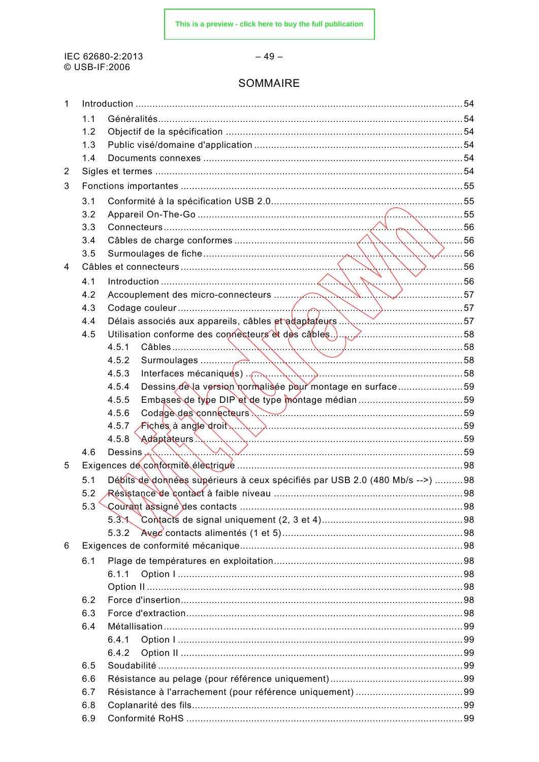IEC 62680-2:2013 © USB-IF:2006

#### $-49-$

# SOMMAIRE

| 1 |     |                                                                             |  |
|---|-----|-----------------------------------------------------------------------------|--|
|   | 1.1 |                                                                             |  |
|   | 1.2 |                                                                             |  |
|   | 1.3 |                                                                             |  |
|   | 1.4 |                                                                             |  |
| 2 |     |                                                                             |  |
| 3 |     |                                                                             |  |
|   | 3.1 |                                                                             |  |
|   | 3.2 |                                                                             |  |
|   | 3.3 |                                                                             |  |
|   | 3.4 | $\sim$ \ \ \ 56                                                             |  |
|   | 3.5 | $\frac{1}{2}$ 56                                                            |  |
| 4 |     |                                                                             |  |
|   | 4.1 |                                                                             |  |
|   | 4.2 |                                                                             |  |
|   | 4.3 |                                                                             |  |
|   | 4.4 |                                                                             |  |
|   | 4.5 |                                                                             |  |
|   |     | 4.5.1                                                                       |  |
|   |     | 4.5.2                                                                       |  |
|   |     | 4.5.3                                                                       |  |
|   |     | Dessins de la version normalisée pour montage en surface59<br>4.5.4         |  |
|   |     | 4.5.5                                                                       |  |
|   |     | Codage des connecteurs<br>4.5.6                                             |  |
|   |     | 4.5.7 Fiches à angle droit                                                  |  |
|   |     | 4.5.8                                                                       |  |
|   | 4.6 | Dessins $\sim$                                                              |  |
| 5 |     |                                                                             |  |
|   | 5.1 | Débits de données supérieurs à ceux spécifiés par USB 2.0 (480 Mb/s -->) 98 |  |
|   | 5.2 |                                                                             |  |
|   | 5.3 |                                                                             |  |
|   |     | 5.3 <sub>1</sub>                                                            |  |
|   |     | 5.3.2                                                                       |  |
| 6 |     |                                                                             |  |
|   | 6.1 |                                                                             |  |
|   |     | 6.1.1                                                                       |  |
|   |     |                                                                             |  |
|   | 6.2 |                                                                             |  |
|   | 6.3 |                                                                             |  |
|   | 6.4 |                                                                             |  |
|   |     | 6.4.1                                                                       |  |
|   |     | 6.4.2                                                                       |  |
|   | 6.5 |                                                                             |  |
|   | 6.6 |                                                                             |  |
|   | 6.7 |                                                                             |  |
|   | 6.8 |                                                                             |  |
|   | 6.9 |                                                                             |  |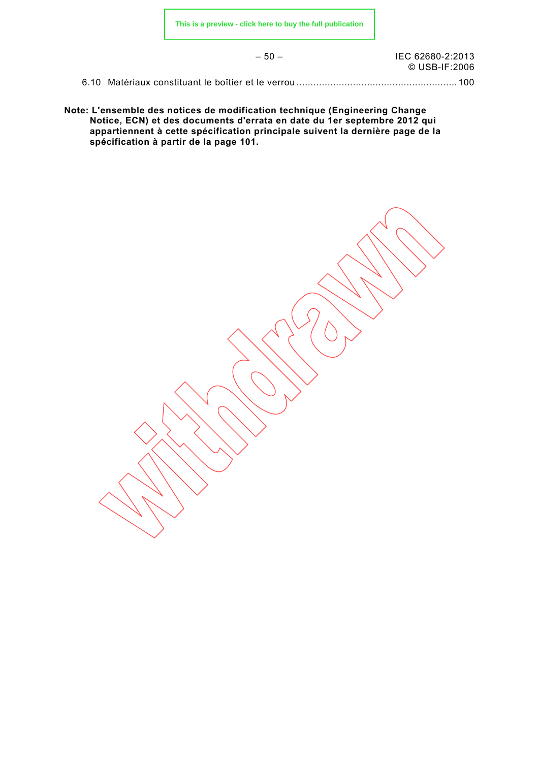– 50 – IEC 62680-2:2013 © USB-IF:2006

6.10 Matériaux constituant le boîtier et le verrou ......................................................... 100

**Note: L'ensemble des notices de modification technique (Engineering Change Notice, ECN) et des documents d'errata en date du 1er septembre 2012 qui appartiennent à cette spécification principale suivent la dernière page de la spécification à partir de la page 101.**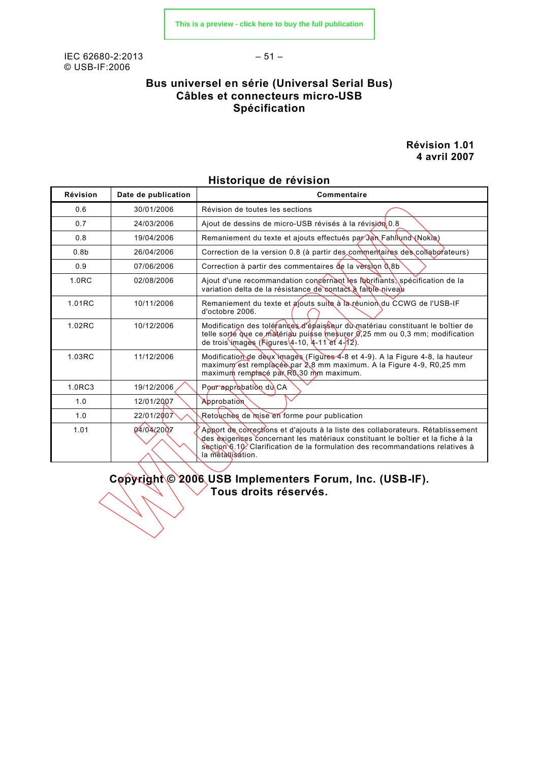IEC 62680-2:2013 – 51 – © USB-IF:2006

# **Bus universel en série (Universal Serial Bus) Câbles et connecteurs micro-USB Spécification**

**Révision 1.01 4 avril 2007**

| <b>Révision</b>   | Date de publication | <b>Commentaire</b>                                                                                                                                                                                                                                                      |
|-------------------|---------------------|-------------------------------------------------------------------------------------------------------------------------------------------------------------------------------------------------------------------------------------------------------------------------|
| 0.6               | 30/01/2006          | Révision de toutes les sections                                                                                                                                                                                                                                         |
| 0.7               | 24/03/2006          | Ajout de dessins de micro-USB révisés à la révision 0.8                                                                                                                                                                                                                 |
| 0.8               | 19/04/2006          | Remaniement du texte et ajouts effectués par Jan Fahllund (Nokla)                                                                                                                                                                                                       |
| 0.8 <sub>b</sub>  | 26/04/2006          | Correction de la version 0.8 (à partir des commentaires des collaborateurs)                                                                                                                                                                                             |
| 0.9               | 07/06/2006          | Correction à partir des commentaires de la version $0,8b$                                                                                                                                                                                                               |
| 1.0 <sub>RC</sub> | 02/08/2006          | Ajout d'une recommandation concernant les labrifiants, spécification de la<br>variation delta de la résistance de contact à fample niveau                                                                                                                               |
| 1.01RC            | 10/11/2006          | Remaniement du texte et ajouts suite à la réunion du CCWG de l'USB-IF<br>d'octobre 2006.                                                                                                                                                                                |
| 1.02RC            | 10/12/2006          | Modification des tolérances d'épaisseur du matériau constituant le boîtier de<br>telle sorté que ce matériau puisse mesurer $\beta$ , 25 mm ou 0,3 mm; modification<br>de trois images (Figures $(4-10, 4-11)$ et $(4-12)$ .                                            |
| 1.03RC            | 11/12/2006          | Modification de deux images (Figures 4-8 et 4-9). A la Figure 4-8, la hauteur<br>maximum est remplaçée par 2,8 mm maximum. A la Figure 4-9, R0,25 mm<br>maximum remptacé par R0.30 mm maximum.                                                                          |
| 1.0RC3            | 19/12/2006          | Pour approbation du CA                                                                                                                                                                                                                                                  |
| 1.0               | 12/01/2007          | Approbation                                                                                                                                                                                                                                                             |
| 1.0               | 22/01/2007          | Retouches de mise en forme pour publication                                                                                                                                                                                                                             |
| 1.01              | 04/04/2007          | Apport de corrections et d'ajouts à la liste des collaborateurs. Rétablissement<br>des èxigences concernant les matériaux constituant le boîtier et la fiche à la<br>section 6.10. Clarification de la formulation des recommandations relatives à<br>la métallisation. |

# **Historique de révision**

**Copyright © 2006 USB Implementers Forum, Inc. (USB-IF). Tous droits réservés.**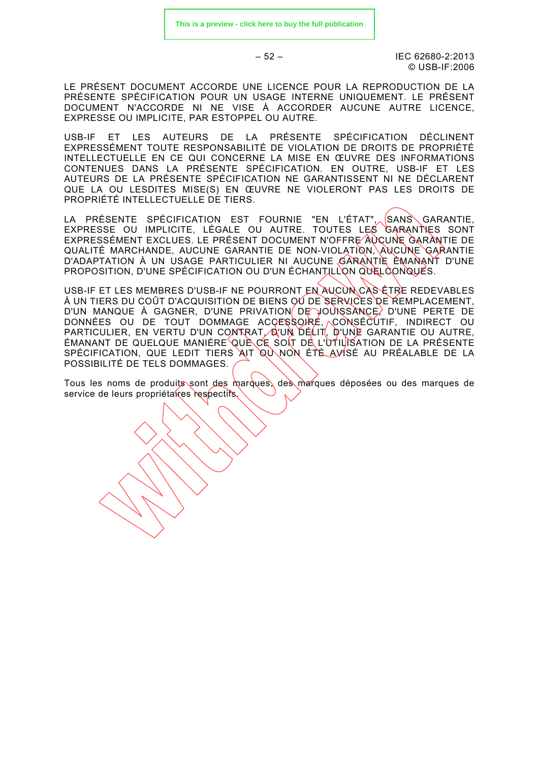$-52 - 12013$ © USB-IF:2006

LE PRÉSENT DOCUMENT ACCORDE UNE LICENCE POUR LA REPRODUCTION DE LA PRÉSENTE SPÉCIFICATION POUR UN USAGE INTERNE UNIQUEMENT. LE PRÉSENT DOCUMENT N'ACCORDE NI NE VISE À ACCORDER AUCUNE AUTRE LICENCE, EXPRESSE OU IMPLICITE, PAR ESTOPPEL OU AUTRE.

USB-IF ET LES AUTEURS DE LA PRÉSENTE SPÉCIFICATION DÉCLINENT EXPRESSÉMENT TOUTE RESPONSABILITÉ DE VIOLATION DE DROITS DE PROPRIÉTÉ INTELLECTUELLE EN CE QUI CONCERNE LA MISE EN ŒUVRE DES INFORMATIONS CONTENUES DANS LA PRÉSENTE SPÉCIFICATION. EN OUTRE, USB-IF ET LES AUTEURS DE LA PRÉSENTE SPÉCIFICATION NE GARANTISSENT NI NE DÉCLARENT QUE LA OU LESDITES MISE(S) EN ŒUVRE NE VIOLERONT PAS LES DROITS DE PROPRIÉTÉ INTELLECTUELLE DE TIERS.

LA PRÉSENTE SPÉCIFICATION EST FOURNIE "EN L'ÉTAT",<sub>^.</sub>(SANS\GARANTIE, EXPRESSE OU IMPLICITE, LÉGALE OU AUTRE. TOUTES LES GARANTIES SONT EXPRESSÉMENT EXCLUES. LE PRÉSENT DOCUMENT N'OFFRE AUCUNE GARANTIE DE QUALITÉ MARCHANDE, AUCUNE GARANTIE DE NON-VIOLATION, AUCUNE GARANTIE D'ADAPTATION À UN USAGE PARTICULIER NI AUCUNE GARANTIE ÉMANANT D'UNE PROPOSITION, D'UNE SPÉCIFICATION OU D'UN ÉCHANTILLON QUELCONQUES.

USB-IF ET LES MEMBRES D'USB-IF NE POURRONT EN AUCUN CAS ÊTRE REDEVABLES À UN TIERS DU COÛT D'ACQUISITION DE BIENS OU DE SERVICES DE REMPLACEMENT. D'UN MANQUE À GAGNER, D'UNE PRIVATION DE JOUISSANCE, D'UNE PERTE DE DONNÉES OU DE TOUT DOMMAGE ACCESSOIRE, CONSÉCUTIF, INDIRECT OU PARTICULIER, EN VERTU D'UN CONTRAT, Q'UN DÉLIT, D'UNE GARANTIE OU AUTRE, ÉMANANT DE QUELQUE MANIÈRE QUÈ CE SOIT DE L'UTILISATION DE LA PRÉSENTE SPÉCIFICATION, QUE LEDIT TIERS AIT QU NON ÉTÉ AVISÉ AU PRÉALABLE DE LA POSSIBILITÉ DE TELS DOMMAGES.

Tous les noms de produits sont des marques, des marques déposées ou des marques de service de leurs propriétaires respectifs.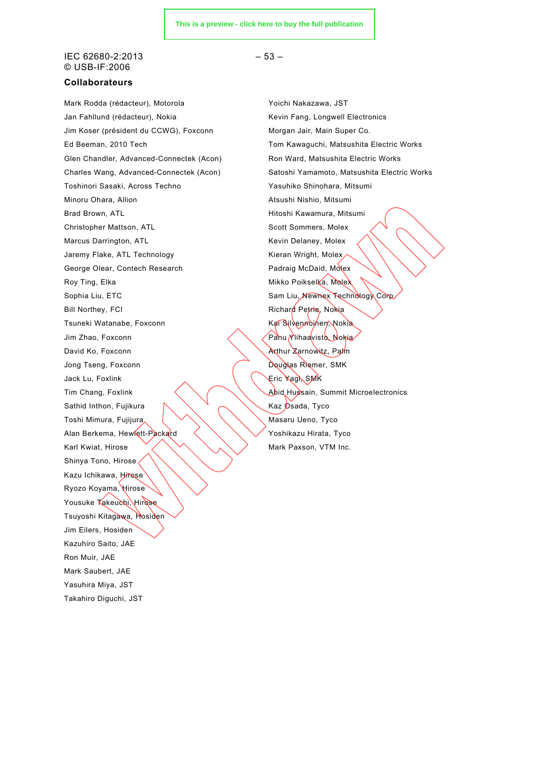#### $IEC 62680-2:2013$  – 53 – © USB-IF:2006

#### **Collaborateurs**

Mark Rodda (rédacteur), Motorola **Witch Charlotte de Latin Voltage Voltage André** Yoichi Nakazawa, JST Jan Fahllund (rédacteur), Nokia Kevin Fang, Longwell Electronics Jim Koser (président du CCWG), Foxconn Morgan Jair, Main Super Co. Glen Chandler, Advanced-Connectek (Acon) Ron Ward, Matsushita Electric Works Toshinori Sasaki, Across Techno Yasuhiko Shinohara, Mitsumi Minoru Ohara, Allion Atsushi Nishio, Mitsumi Brad Brown, ATL **Hitoshi Kawamura, Mitsumi** Christopher Mattson, ATL Scott Sommers, Molex Marcus Darrington, ATL **Kevin Delaney, Molex** Kevin Delaney, Molex Jaremy Flake, ATL Technology **Kieran Wright, Molex** George Olear, Contech Research **Padraig McDaid, Molex** Roy Ting, Elka Mikko Poikselka, Molex Sophia Liu, ETC Sam Liu, Newnex Technology Corp. Bill Northey, FCI **Richard Petrie**, Nokia Tsuneki Watanabe, Foxconn Maxwell Martin Kai Silvennoinen, Nokia Jim Zhao, Foxconn **Panu Ylihaavisto, Nokia** David Ko, Foxconn **Arthur Zarnowitz**, Palm Jong Tseng, Foxconn **Douglas Riemer, SMK** Jack Lu, Foxlink Eric Yagi, SMK Tim Chang, Foxlink  $\left\langle \right\rangle$  Abid Hussain, Summit Microelectronics Sathid Inthon, Fujikura  $\mathbb{R}$   $\mathbb{R}$   $\mathbb{R}$   $\mathbb{R}$  Kaz Osada, Tyco Toshi Mimura, Fujijura (VANA) Masaru Ueno, Tyco Alan Berkema, Hewlett-Packard  $\left\langle \right\rangle \left\langle \right\rangle$  Yoshikazu Hirata, Tyco Karl Kwiat, Hirose  $\sqrt{2}$   $\sqrt{2}$  Mark Paxson, VTM Inc. Shinya Tono, Hirose Kazu Ichikawa, Hirose Ryozo Koyama, Hirose Yousuke Takeuchi, Hirose Tsuyoshi Kitagawa, Hosiden Jim Eilers, Hosiden Kazuhiro Saito, JAE Ron Muir, JAE Mark Saubert, JAE Yasuhira Miya, JST Takahiro Diguchi, JST

Ed Beeman, 2010 Tech Tom Kawaguchi, Matsushita Electric Works Charles Wang, Advanced-Connectek (Acon) Satoshi Yamamoto, Matsushita Electric Works